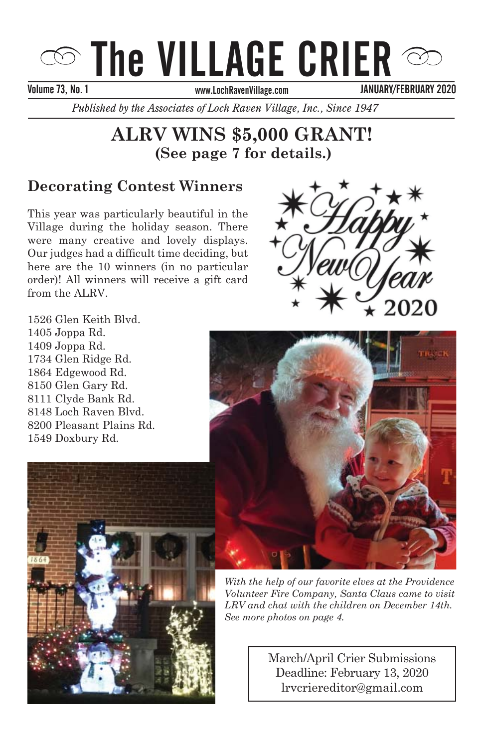# $\infty$  The VILLAGE CRIER  $\infty$

Volume 73, No. 1 September 2013 September 2013 November 2013

JANUARY/FEBRUARY 2020

*Published by the Associates of Loch Raven Village, Inc., Since 1947* 

# **ALRV WINS \$5,000 GRANT! (See page 7 for details.)**

# **Decorating Contest Winners**

**This year was particularly beautiful in the** Village during the holiday season. There Our judges had a difficult time deciding, but here are the 10 winners (in no particular order)! All winners will receive a gift card from the ALRV. were many creative and lovely displays.



 $1526$  Glen Keith Blvd.  $1405$  Joppa Rd.  $1409$  Joppa Rd. because our community recognizes the 1734 Glen Ridge Rd. importance of maintaining the Village's 1864 Edgewood Rd. o i ou Gien Gary Rd.<br>8111 Clyde Bank Rd. of being manns nu.<br>8148 Loch Raven Blvd.  $\sigma$ <sup>2</sup>UU i leasant f lains itu. 1549 Doxbury Rd. 8150 Glen Gary Rd. 8200 Pleasant Plains Rd.





With the help of our favorite elves at the Providence *Volunteer Fire Company, Santa Claus came to visit* LRV and chat with the children on December 14th.<br>———————————————————— See more photos on page 4.

lrvcriereditor@gmail.com *For Santa's Ride Information see page 3* March/April Crier Submissions Deadline: February 13, 2020

Deadline: December 15, 2014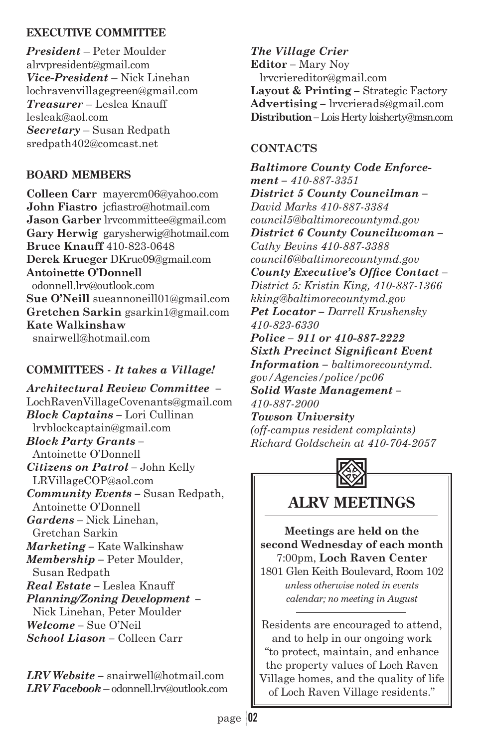#### **EXECUTIVE COMMITTEE**

*President* – Peter Moulder alrvpresident@gmail.com *Vice-President* – Nick Linehan lochravenvillagegreen@gmail.com *Treasurer* – Leslea Knauff lesleak@aol.com *Secretary* – Susan Redpath sredpath402@comcast.net

#### **BOARD MEMBERS**

**Colleen Carr** mayercm06@yahoo.com John Fiastro *icfiastro@hotmail.com* **Jason Garber** lrvcommittee@gmail.com **Gary Herwig** garysherwig@hotmail.com **Bruce Knauff** 410-823-0648 **Derek Krueger** DKrue09@gmail.com **Antoinette O'Donnell** odonnell.lrv@outlook.com **Sue O'Neill** sueannoneill01@gmail.com **Gretchen Sarkin** gsarkin1@gmail.com **Kate Walkinshaw** snairwell@hotmail.com

#### **COMMITTEES -** *It takes a Village!*

*Architectural Review Committee –* LochRavenVillageCovenants@gmail.com *Block Captains –* Lori Cullinan lrvblockcaptain@gmail.com *Block Party Grants –* Antoinette O'Donnell *Citizens on Patrol –* John Kelly LRVillageCOP@aol.com *Community Events –* Susan Redpath, Antoinette O'Donnell *Gardens –* Nick Linehan, Gretchan Sarkin *Marketing –* Kate Walkinshaw *Membership –* Peter Moulder, Susan Redpath *Real Estate –* Leslea Knauff *Planning/Zoning Development –* Nick Linehan, Peter Moulder *Welcome –* Sue O'Neil *School Liason –* Colleen Carr

*LRV Website –* snairwell@hotmail.com *LRV Facebook* – odonnell.lrv@outlook.com

*The Village Crier*  **Editor** *–* Mary Noy lrvcriereditor@gmail.com **Layout & Printing** *–* Strategic Factory **Advertising** *–* lrvcrierads@gmail.com **Distribution** *–* Lois Herty loisherty@msn.com

#### **CONTACTS**

*Baltimore County Code Enforcement – 410-887-3351 District 5 County Councilman – David Marks 410-887-3384 council5@baltimorecountymd.gov District 6 County Councilwoman – Cathy Bevins 410-887-3388 council6@baltimorecountymd.gov*  County Executive's Office Contact-*District 5: Kristin King, 410-887-1366 kking@baltimorecountymd.gov Pet Locator – Darrell Krushensky 410-823-6330 Police – 911 or 410-887-2222*   $Sixth$  *Precinct Significant Event Information – baltimorecountymd. gov/Agencies/police/pc06 Solid Waste Management – 410-887-2000 Towson University (off-campus resident complaints) Richard Goldschein at 410-704-2057*



**ALRV MEETINGS**

**Meetings are held on the second Wednesday of each month** 7:00pm, **Loch Raven Center** 1801 Glen Keith Boulevard, Room 102 *unless otherwise noted in events calendar; no meeting in August*

Residents are encouraged to attend, and to help in our ongoing work "to protect, maintain, and enhance the property values of Loch Raven Village homes, and the quality of life of Loch Raven Village residents."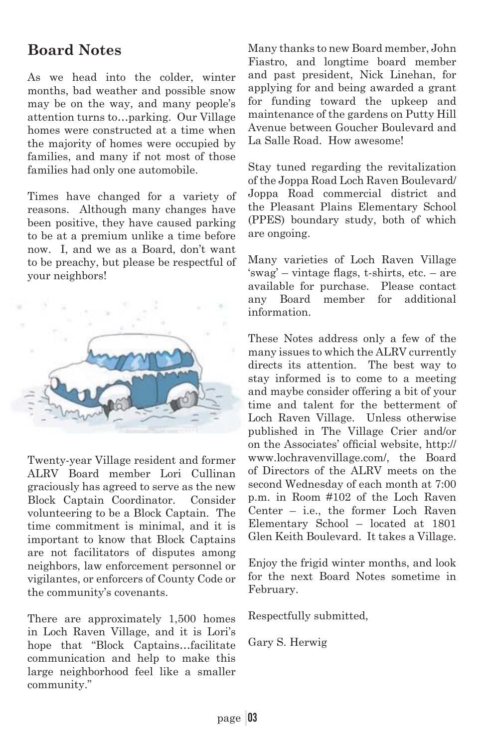# **Board Notes**

As we head into the colder, winter months, bad weather and possible snow may be on the way, and many people's attention turns to…parking. Our Village homes were constructed at a time when the majority of homes were occupied by families, and many if not most of those families had only one automobile.

Times have changed for a variety of reasons. Although many changes have been positive, they have caused parking to be at a premium unlike a time before now. I, and we as a Board, don't want to be preachy, but please be respectful of your neighbors!



Twenty-year Village resident and former ALRV Board member Lori Cullinan graciously has agreed to serve as the new Block Captain Coordinator. Consider volunteering to be a Block Captain. The time commitment is minimal, and it is important to know that Block Captains are not facilitators of disputes among neighbors, law enforcement personnel or vigilantes, or enforcers of County Code or the community's covenants.

There are approximately 1,500 homes in Loch Raven Village, and it is Lori's hope that "Block Captains…facilitate communication and help to make this large neighborhood feel like a smaller community."

Many thanks to new Board member, John Fiastro, and longtime board member and past president, Nick Linehan, for applying for and being awarded a grant for funding toward the upkeep and maintenance of the gardens on Putty Hill Avenue between Goucher Boulevard and La Salle Road. How awesome!

Stay tuned regarding the revitalization of the Joppa Road Loch Raven Boulevard/ Joppa Road commercial district and the Pleasant Plains Elementary School (PPES) boundary study, both of which are ongoing.

Many varieties of Loch Raven Village  $'swag'$  – vintage flags, t-shirts, etc. – are available for purchase. Please contact any Board member for additional information.

These Notes address only a few of the many issues to which the ALRV currently directs its attention. The best way to stay informed is to come to a meeting and maybe consider offering a bit of your time and talent for the betterment of Loch Raven Village. Unless otherwise published in The Village Crier and/or on the Associates' official website, http:// www.lochravenvillage.com/, the Board of Directors of the ALRV meets on the second Wednesday of each month at 7:00 p.m. in Room #102 of the Loch Raven Center – i.e., the former Loch Raven Elementary School – located at 1801 Glen Keith Boulevard. It takes a Village.

Enjoy the frigid winter months, and look for the next Board Notes sometime in February.

Respectfully submitted,

Gary S. Herwig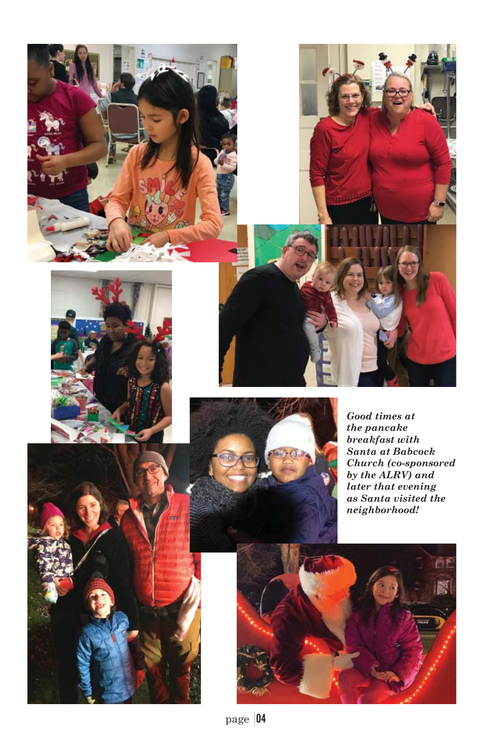





*Good times at the pancake breakfast with Santa at Babcock Church (co-sponsored by the ALRV) and later that evening as Santa visited the neighborhood!*

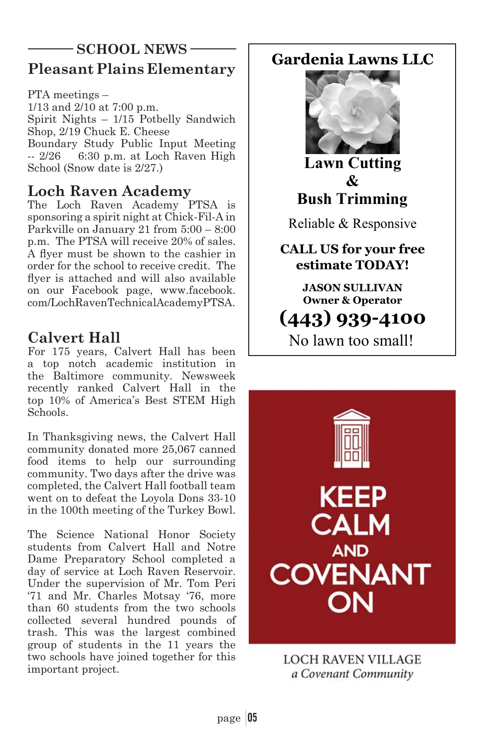## **Pleasant Plains Elementary SCHOOL NEWS** Gardenia Lawns LLC

PTA meetings – 1/13 and 2/10 at 7:00 p.m. Spirit Nights – 1/15 Potbelly Sandwich Shop, 2/19 Chuck E. Cheese Boundary Study Public Input Meeting -- 2/26 6:30 p.m. at Loch Raven High School (Snow date is 2/27.)

## **Loch Raven Academy**

The Loch Raven Academy PTSA is sponsoring a spirit night at Chick-Fil-A in Parkville on January 21 from 5:00 – 8:00 p.m. The PTSA will receive 20% of sales. A flver must be shown to the cashier in order for the school to receive credit. The flyer is attached and will also available on our Facebook page, www.facebook. com/LochRavenTechnicalAcademyPTSA.

# **Calvert Hall**

For 175 years, Calvert Hall has been a top notch academic institution in the Baltimore community. Newsweek recently ranked Calvert Hall in the top 10% of America's Best STEM High Schools.

In Thanksgiving news, the Calvert Hall community donated more 25,067 canned food items to help our surrounding community. Two days after the drive was completed, the Calvert Hall football team went on to defeat the Loyola Dons 33-10 in the 100th meeting of the Turkey Bowl.

The Science National Honor Society students from Calvert Hall and Notre Dame Preparatory School completed a day of service at Loch Raven Reservoir. Under the supervision of Mr. Tom Peri '71 and Mr. Charles Motsay '76, more than 60 students from the two schools collected several hundred pounds of trash. This was the largest combined group of students in the 11 years the two schools have joined together for this important project.



**Lawn Cutting**  $\mathcal{R}_{I}$ **Bush Trimming** 

Reliable & Responsive

**CALL US for your free estimate TODAY!** 

> **JASON SULLIVAN 2** Operator

# 

No lawn too small!



**LOCH RAVEN VILLAGE** a Covenant Community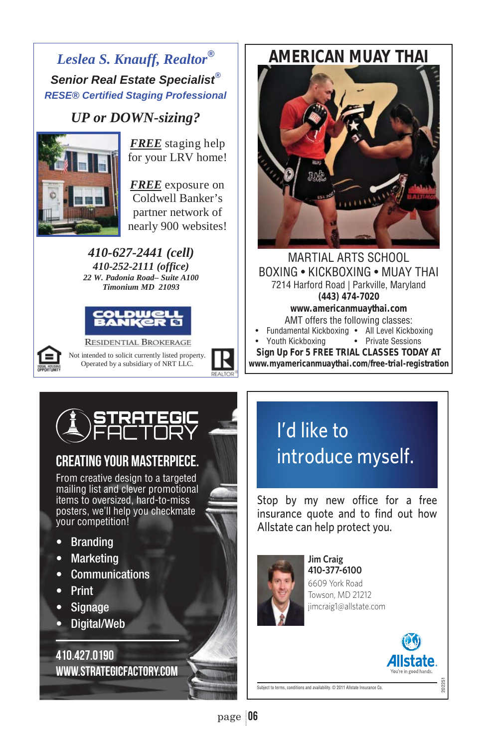# *Leslea S. Knauff, Realtor® Senior Real Estate Specialist® RESE® Certified Staging Professional*

# *UP or DOWN-sizing?*<br>FREE staging help



for your LRV home!

nearly 900 websites! *FREE* exposure on Coldwell Banker's partner network of

*410-627-2441 (cell) 410-252-2111 (office) 22 W. Padonia Road– Suite A100 Timonium MD 21093* 





**RESIDENTIAL BROKERAGE** Not intended to solicit currently listed property. Operated by a subsidiary of NRT LLC.

# *AMERICAN MUAY THAI*



MARTIAL ARTS SCHOOL BOXING • KICKBOXING • MUAY THAI 7214 Harford Road | Parkville, Maryland *(443) 474-7020 www.americanmuaythai.com* AMT offers the following classes:

¤ ¤ • Youth Kickboxing • Private Sessions • Fundamental Kickboxing • All Level Kickboxing

*Sign Up For 5 FREE TRIAL CLASSES TODAY AT www.myamericanmuaythai.com/free-trial-registration*

# CREATING YOUR MASTERPIECE.

From creative design to a targeted mailing list and clever promotional items to oversized, hard-to-miss posters, we'll help you checkmate your competition!

- Branding
- Marketing
- Communications
- Print
- Signage
- Digital/Web

410.427.0190 www.strategicfactory.com

# I'd like to introduce myself.

Stop by my new office for a free insurance quote and to find out how Allstate can help protect you.



**Jim Craig** 410-377-6100 6609 York Road Towson, MD 21212 jimcraig1@allstate.com

202251

Subject to terms, conditions and availability. © 2011 Allstate Insurance Co.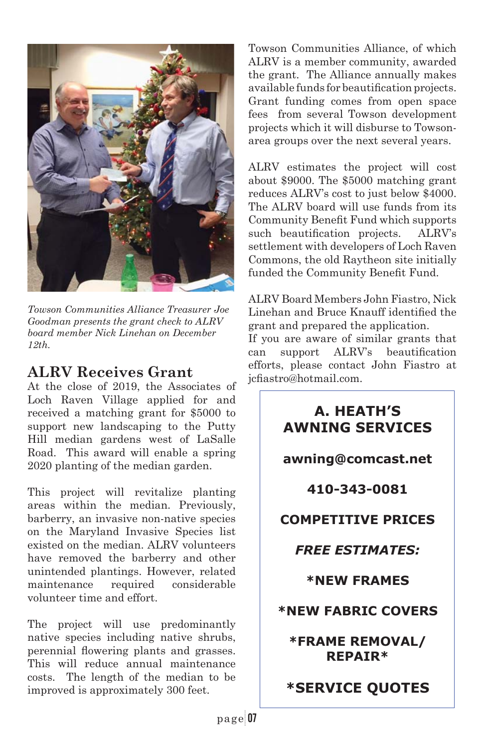

*Towson Communities Alliance Treasurer Joe Goodman presents the grant check to ALRV board member Nick Linehan on December 12th.*

### **ALRV Receives Grant**

At the close of 2019, the Associates of Loch Raven Village applied for and received a matching grant for \$5000 to support new landscaping to the Putty Hill median gardens west of LaSalle Road. This award will enable a spring 2020 planting of the median garden.

This project will revitalize planting areas within the median. Previously, barberry, an invasive non-native species on the Maryland Invasive Species list existed on the median. ALRV volunteers have removed the barberry and other unintended plantings. However, related maintenance required considerable volunteer time and effort.

The project will use predominantly native species including native shrubs, perennial flowering plants and grasses. This will reduce annual maintenance costs. The length of the median to be improved is approximately 300 feet.

Towson Communities Alliance, of which ALRV is a member community, awarded the grant. The Alliance annually makes available funds for beautification projects. Grant funding comes from open space fees from several Towson development projects which it will disburse to Towsonarea groups over the next several years.

ALRV estimates the project will cost about \$9000. The \$5000 matching grant reduces ALRV's cost to just below \$4000. The ALRV board will use funds from its Community Benefit Fund which supports such beautification projects. ALRV's settlement with developers of Loch Raven Commons, the old Raytheon site initially funded the Community Benefit Fund.

ALRV Board Members John Fiastro, Nick Linehan and Bruce Knauff identified the grant and prepared the application.

If you are aware of similar grants that can support ALRV's beautification efforts, please contact John Fiastro at icfiastro@hotmail.com.

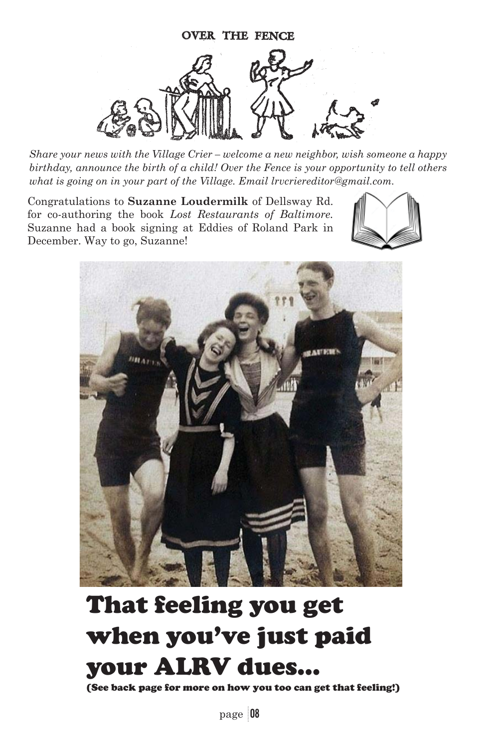

*Share your news with the Village Crier – welcome a new neighbor, wish someone a happy birthday, announce the birth of a child! Over the Fence is your opportunity to tell others what is going on in your part of the Village. Email lrvcriereditor@gmail.com.*

Congratulations to **Suzanne Loudermilk** of Dellsway Rd. for co-authoring the book *Lost Restaurants of Baltimore.* Suzanne had a book signing at Eddies of Roland Park in December. Way to go, Suzanne!





# That feeling you get when you've just paid your ALRV dues…

(See back page for more on how you too can get that feeling!)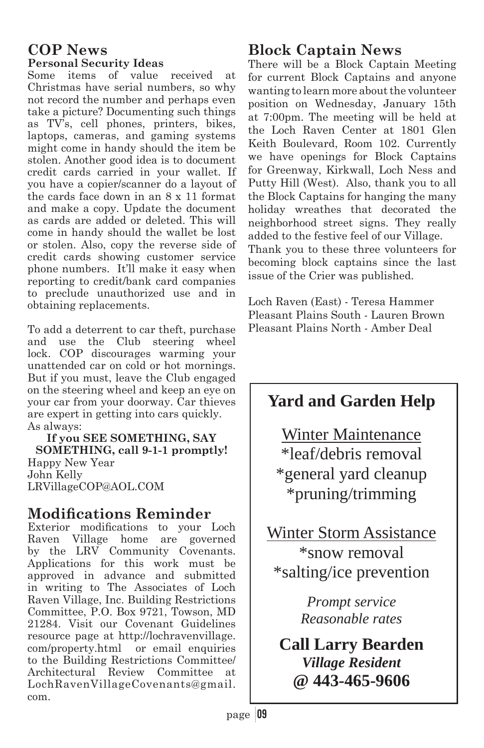#### **COP News Personal Security Ideas**

Some items of value received at Christmas have serial numbers, so why not record the number and perhaps even take a picture? Documenting such things as TV's, cell phones, printers, bikes, laptops, cameras, and gaming systems might come in handy should the item be stolen. Another good idea is to document credit cards carried in your wallet. If you have a copier/scanner do a layout of the cards face down in an 8 x 11 format and make a copy. Update the document as cards are added or deleted. This will come in handy should the wallet be lost or stolen. Also, copy the reverse side of credit cards showing customer service phone numbers. It'll make it easy when reporting to credit/bank card companies to preclude unauthorized use and in obtaining replacements.

To add a deterrent to car theft, purchase and use the Club steering wheel lock. COP discourages warming your unattended car on cold or hot mornings. But if you must, leave the Club engaged on the steering wheel and keep an eye on your car from your doorway. Car thieves are expert in getting into cars quickly. As always:

**If you SEE SOMETHING, SAY SOMETHING, call 9-1-1 promptly!**  Happy New Year John Kelly LRVillageCOP@AOL.COM

## **Modifications Reminder**

Exterior modifications to your Loch<br>Raven Village home are governed Raven Village home are governed by the LRV Community Covenants. Applications for this work must be approved in advance and submitted in writing to The Associates of Loch Raven Village, Inc. Building Restrictions Committee, P.O. Box 9721, Towson, MD 21284. Visit our Covenant Guidelines resource page at http://lochravenvillage. com/property.html or email enquiries to the Building Restrictions Committee/ Architectural Review Committee at LochRavenVillageCovenants@gmail. com.

## **Block Captain News**

There will be a Block Captain Meeting for current Block Captains and anyone wanting to learn more about the volunteer position on Wednesday, January 15th at 7:00pm. The meeting will be held at the Loch Raven Center at 1801 Glen Keith Boulevard, Room 102. Currently we have openings for Block Captains for Greenway, Kirkwall, Loch Ness and Putty Hill (West). Also, thank you to all the Block Captains for hanging the many holiday wreathes that decorated the neighborhood street signs. They really added to the festive feel of our Village. Thank you to these three volunteers for becoming block captains since the last issue of the Crier was published.

Loch Raven (East) - Teresa Hammer Pleasant Plains South - Lauren Brown Pleasant Plains North - Amber Deal



*Village Resident*  **@ 443-465-9606**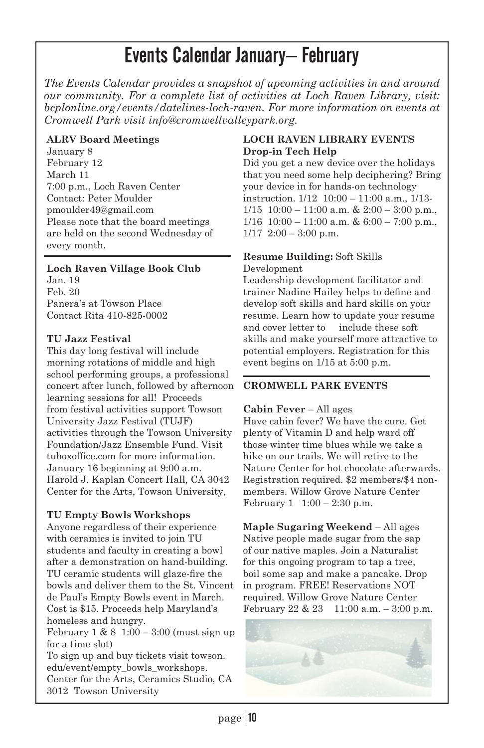# Events Calendar January– February

*The Events Calendar provides a snapshot of upcoming activities in and around our community. For a complete list of activities at Loch Raven Library, visit: bcplonline.org/events/datelines-loch-raven. For more information on events at Cromwell Park visit info@cromwellvalleypark.org.* 

#### **ALRV Board Meetings**

January 8 February 12 March 11 7:00 p.m., Loch Raven Center Contact: Peter Moulder pmoulder49@gmail.com Please note that the board meetings are held on the second Wednesday of every month.

#### **Loch Raven Village Book Club**

Jan. 19 Feb. 20 Panera's at Towson Place Contact Rita 410-825-0002

#### **TU Jazz Festival**

This day long festival will include morning rotations of middle and high school performing groups, a professional concert after lunch, followed by afternoon learning sessions for all! Proceeds from festival activities support Towson University Jazz Festival (TUJF) activities through the Towson University Foundation/Jazz Ensemble Fund. Visit tuboxoffice.com for more information. January 16 beginning at 9:00 a.m. Harold J. Kaplan Concert Hall, CA 3042 Center for the Arts, Towson University,

#### **TU Empty Bowls Workshops**

Anyone regardless of their experience with ceramics is invited to join TU students and faculty in creating a bowl after a demonstration on hand-building. TU ceramic students will glaze-fire the bowls and deliver them to the St. Vincent de Paul's Empty Bowls event in March. Cost is \$15. Proceeds help Maryland's homeless and hungry. February 1 & 8 1:00 – 3:00 (must sign up for a time slot)

To sign up and buy tickets visit towson. edu/event/empty\_bowls\_workshops. Center for the Arts, Ceramics Studio, CA 3012 Towson University

#### **LOCH RAVEN LIBRARY EVENTS Drop-in Tech Help**

Did you get a new device over the holidays that you need some help deciphering? Bring your device in for hands-on technology instruction. 1/12 10:00 – 11:00 a.m., 1/13-  $1/15$  10:00 – 11:00 a.m. & 2:00 – 3:00 p.m.,  $1/16$  10:00 – 11:00 a.m. & 6:00 – 7:00 p.m.,  $1/17$  2:00 – 3:00 p.m.

#### **Resume Building:** Soft Skills

#### Development

Leadership development facilitator and trainer Nadine Hailey helps to define and develop soft skills and hard skills on your resume. Learn how to update your resume and cover letter to include these soft skills and make yourself more attractive to potential employers. Registration for this event begins on 1/15 at 5:00 p.m.

#### **CROMWELL PARK EVENTS**

#### **Cabin Fever** – All ages

Have cabin fever? We have the cure. Get plenty of Vitamin D and help ward off those winter time blues while we take a hike on our trails. We will retire to the Nature Center for hot chocolate afterwards. Registration required. \$2 members/\$4 nonmembers. Willow Grove Nature Center February  $1 \quad 1:00 - 2:30 \text{ p.m.}$ 

**Maple Sugaring Weekend** – All ages Native people made sugar from the sap of our native maples. Join a Naturalist for this ongoing program to tap a tree, boil some sap and make a pancake. Drop in program. FREE! Reservations NOT required. Willow Grove Nature Center February  $22 \& 23 \quad 11:00 \text{ a.m.} - 3:00 \text{ p.m.}$ 

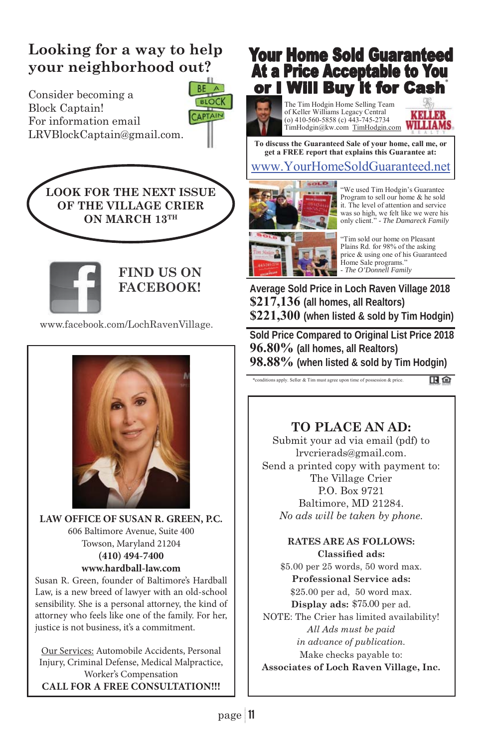# **Looking for a way to help your neighborhood out?**

Consider becoming a Block Captain! For information email LRVBlockCaptain@gmail.com.

> **LOOK FOR THE NEXT ISSUE OF THE VILLAGE CRIER ON MARCH 13TH**



**FIND US ON FACEBOOK!**

BE **BLOCK** 

CAPTAIN

www.facebook.com/LochRavenVillage.



**LAW OFFICE OF SUSAN R. GREEN, P.C.** 606 Baltimore Avenue, Suite 400 Towson, Maryland 21204 **(410) 494-7400 www.hardball-law.com**

Susan R. Green, founder of Baltimore's Hardball Law, is a new breed of lawyer with an old-school sensibility. She is a personal attorney, the kind of attorney who feels like one of the family. For her, justice is not business, it's a commitment.

Our Services: Automobile Accidents, Personal Injury, Criminal Defense, Medical Malpractice, Worker's Compensation **CALL FOR A FREE CONSULTATION!!!**

# **Your Home Sold Guaranteed At a Price Acceptable to You<br>or I Will Buy it for Cash**

The Tim Hodgin Home Selling Team of Keller Williams Legacy Central (o) 410-560-5858 (c) 443-745-2734 TimHodgin@kw.com TimHodgin.com

**CRACK WILLIAMS** 

www.YourHomeSoldGuaranteed.net **To discuss the Guaranteed Sale of your home, call me, or get a FREE report that explains this Guarantee at:** 



"We used Tim Hodgin's Guarantee Program to sell our home & he sold it. The level of attention and service was so high, we felt like we were his only client." - *The Damareck Family*

"Tim sold our home on Pleasant Plains Rd. for 98% of the asking price & using one of his Guaranteed Home Sale programs.' - *The O'Donnell Family*

**Average Sold Price in Loch Raven Village 2018 \$217,136 (all homes, all Realtors) \$221,300 (when listed & sold by Tim Hodgin)** 

**Sold Price Compared to Original List Price 2018 96.80% (all homes, all Realtors) 98.88% (when listed & sold by Tim Hodgin)**

\*conditions apply. Seller & Tim must agree upon time of possession & price.

田白

## **TO PLACE AN AD:**

Submit your ad via email (pdf) to lrvcrierads@gmail.com. Send a printed copy with payment to: The Village Crier P.O. Box 9721 Baltimore, MD 21284. *No ads will be taken by phone.*

> **RATES ARE AS FOLLOWS: Classified ads:**

\$5.00 per 25 words, 50 word max. **Professional Service ads:** \$25.00 per ad, 50 word max. Display ads: \$75.00 per ad. NOTE: The Crier has limited availability! *All Ads must be paid in advance of publication.*  Make checks payable to: **Associates of Loch Raven Village, Inc.**